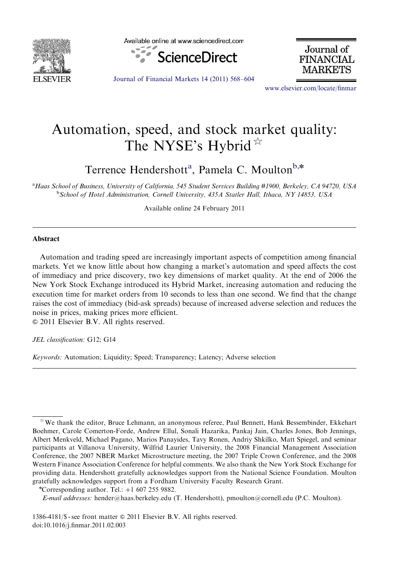

Available online at www.sciencedirect.com



Journal of **FINANCIAL** MARKETS

[Journal of Financial Markets 14 \(2011\) 568–604](dx.doi.org/10.1016/j.finmar.2011.02.003)

<www.elsevier.com/locate/finmar>

## Automation, speed, and stock market quality: The NYSE's Hybrid $*$

Terrence Hendershott<sup>a</sup>, Pamela C. Moulton<sup>b,\*</sup>

a Haas School of Business, University of California, 545 Student Services Building #1900, Berkeley, CA 94720, USA <sup>b</sup>School of Hotel Administration, Cornell University, 435A Statler Hall, Ithaca, NY 14853, USA

Available online 24 February 2011

## Abstract

Automation and trading speed are increasingly important aspects of competition among financial markets. Yet we know little about how changing a market's automation and speed affects the cost of immediacy and price discovery, two key dimensions of market quality. At the end of 2006 the New York Stock Exchange introduced its Hybrid Market, increasing automation and reducing the execution time for market orders from 10 seconds to less than one second. We find that the change raises the cost of immediacy (bid-ask spreads) because of increased adverse selection and reduces the noise in prices, making prices more efficient.

 $\odot$  2011 Elsevier B.V. All rights reserved.

JEL classification: G12; G14

Keywords: Automation; Liquidity; Speed; Transparency; Latency; Adverse selection

1386-4181/\$ - see front matter © 2011 Elsevier B.V. All rights reserved. doi[:10.1016/j.finmar.2011.02.003](dx.doi.org/10.1016/j.finmar.2011.02.003)

 $*$  We thank the editor, Bruce Lehmann, an anonymous referee, Paul Bennett, Hank Bessembinder, Ekkehart Boehmer, Carole Comerton-Forde, Andrew Ellul, Sonali Hazarika, Pankaj Jain, Charles Jones, Bob Jennings, Albert Menkveld, Michael Pagano, Marios Panayides, Tavy Ronen, Andriy Shkilko, Matt Spiegel, and seminar participants at Villanova University, Wilfrid Laurier University, the 2008 Financial Management Association Conference, the 2007 NBER Market Microstructure meeting, the 2007 Triple Crown Conference, and the 2008 Western Finance Association Conference for helpful comments. We also thank the New York Stock Exchange for providing data. Hendershott gratefully acknowledges support from the National Science Foundation. Moulton gratefully acknowledges support from a Fordham University Faculty Research Grant. <sup>n</sup>

<sup>\*</sup>Corresponding author. Tel.:  $+1$  607 255 9882.

E-mail addresses: [hender@haas.berkeley.edu \(T. Hendershott\),](mailto:hender@haas.berkeley.edu) [pmoulton@cornell.edu \(P.C. Moulton\).](mailto:pmoulton@cornell.edu)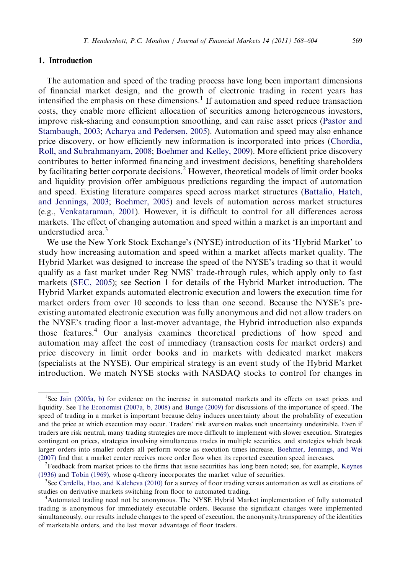## 1. Introduction

The automation and speed of the trading process have long been important dimensions of financial market design, and the growth of electronic trading in recent years has intensified the emphasis on these dimensions.<sup>1</sup> If automation and speed reduce transaction costs, they enable more efficient allocation of securities among heterogeneous investors, improve risk-sharing and consumption smoothing, and can raise asset prices ([Pastor and](#page--1-0) [Stambaugh, 2003;](#page--1-0) [Acharya and Pedersen, 2005](#page--1-0)). Automation and speed may also enhance price discovery, or how efficiently new information is incorporated into prices ([Chordia,](#page--1-0) [Roll, and Subrahmanyam, 2008;](#page--1-0) [Boehmer and Kelley, 2009](#page--1-0)). More efficient price discovery contributes to better informed financing and investment decisions, benefiting shareholders by facilitating better corporate decisions.<sup>2</sup> However, theoretical models of limit order books and liquidity provision offer ambiguous predictions regarding the impact of automation and speed. Existing literature compares speed across market structures [\(Battalio, Hatch,](#page--1-0) [and Jennings, 2003;](#page--1-0) [Boehmer, 2005](#page--1-0)) and levels of automation across market structures (e.g., [Venkataraman, 2001](#page--1-0)). However, it is difficult to control for all differences across markets. The effect of changing automation and speed within a market is an important and understudied area.3

We use the New York Stock Exchange's (NYSE) introduction of its 'Hybrid Market' to study how increasing automation and speed within a market affects market quality. The Hybrid Market was designed to increase the speed of the NYSE's trading so that it would qualify as a fast market under Reg NMS' trade-through rules, which apply only to fast markets ([SEC, 2005\)](#page--1-0); see Section 1 for details of the Hybrid Market introduction. The Hybrid Market expands automated electronic execution and lowers the execution time for market orders from over 10 seconds to less than one second. Because the NYSE's preexisting automated electronic execution was fully anonymous and did not allow traders on the NYSE's trading floor a last-mover advantage, the Hybrid introduction also expands those features.<sup>4</sup> Our analysis examines theoretical predictions of how speed and automation may affect the cost of immediacy (transaction costs for market orders) and price discovery in limit order books and in markets with dedicated market makers (specialists at the NYSE). Our empirical strategy is an event study of the Hybrid Market introduction. We match NYSE stocks with NASDAQ stocks to control for changes in

<sup>&</sup>lt;sup>1</sup>See [Jain \(2005a,](#page--1-0) [b\)](#page--1-0) for evidence on the increase in automated markets and its effects on asset prices and liquidity. See [The Economist \(2007a](#page--1-0), [b, 2008\)](#page--1-0) and [Bunge \(2009\)](#page--1-0) for discussions of the importance of speed. The speed of trading in a market is important because delay induces uncertainty about the probability of execution and the price at which execution may occur. Traders' risk aversion makes such uncertainty undesirable. Even if traders are risk neutral, many trading strategies are more difficult to implement with slower execution. Strategies contingent on prices, strategies involving simultaneous trades in multiple securities, and strategies which break larger orders into smaller orders all perform worse as execution times increase. [Boehmer, Jennings, and Wei](#page--1-0) [\(2007\)](#page--1-0) find that a market center receives more order flow when its reported execution speed increases.

<sup>2</sup> Feedback from market prices to the firms that issue securities has long been noted; see, for example, [Keynes](#page--1-0) [\(1936\)](#page--1-0) and [Tobin \(1969\)](#page--1-0), whose q-theory incorporates the market value of securities. <sup>3</sup>

 ${}^{3}$ See [Cardella, Hao, and Kalcheva \(2010\)](#page--1-0) for a survey of floor trading versus automation as well as citations of studies on derivative markets switching from floor to automated trading.

<sup>&</sup>lt;sup>4</sup>Automated trading need not be anonymous. The NYSE Hybrid Market implementation of fully automated trading is anonymous for immediately executable orders. Because the significant changes were implemented simultaneously, our results include changes to the speed of execution, the anonymity/transparency of the identities of marketable orders, and the last mover advantage of floor traders.